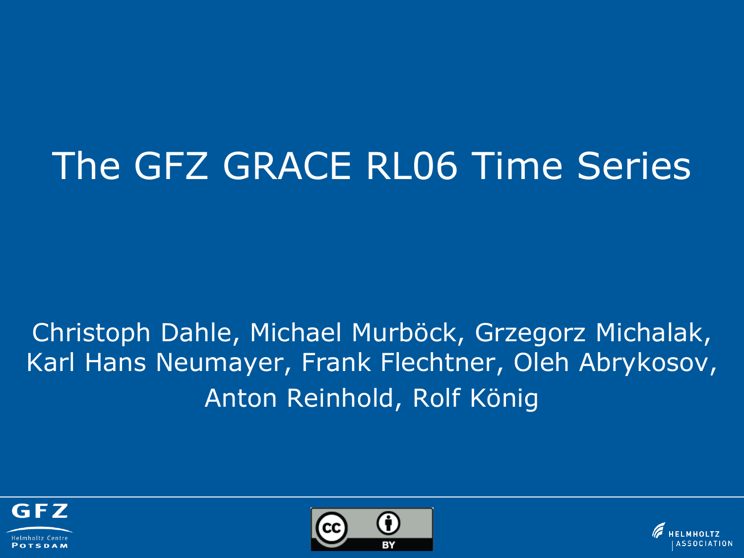# The GFZ GRACE RL06 Time Series

# Christoph Dahle, Michael Murböck, Grzegorz Michalak, Karl Hans Neumayer, Frank Flechtner, Oleh Abrykosov, Anton Reinhold, Rolf König





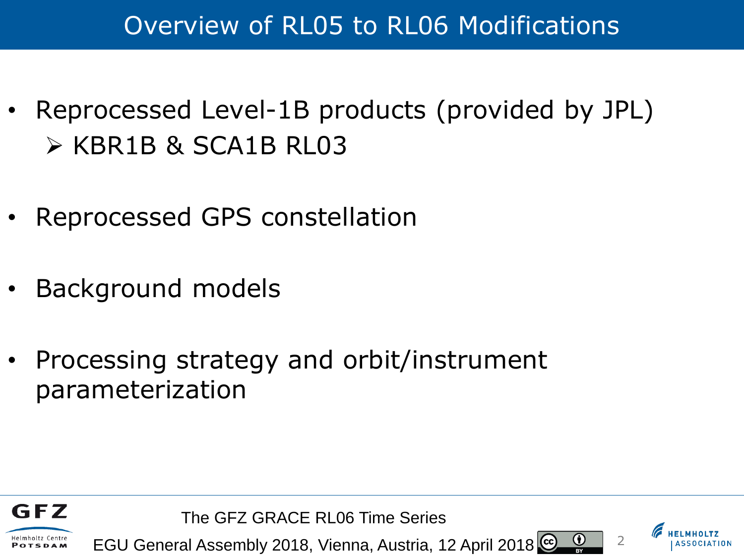# Overview of RL05 to RL06 Modifications

- Reprocessed Level-1B products (provided by JPL) KBR1B & SCA1B RL03
- Reprocessed GPS constellation
- Background models
- Processing strategy and orbit/instrument parameterization



The GFZ GRACE RL06 Time Series

EGU General Assembly 2018, Vienna, Austria, 12 April 2018



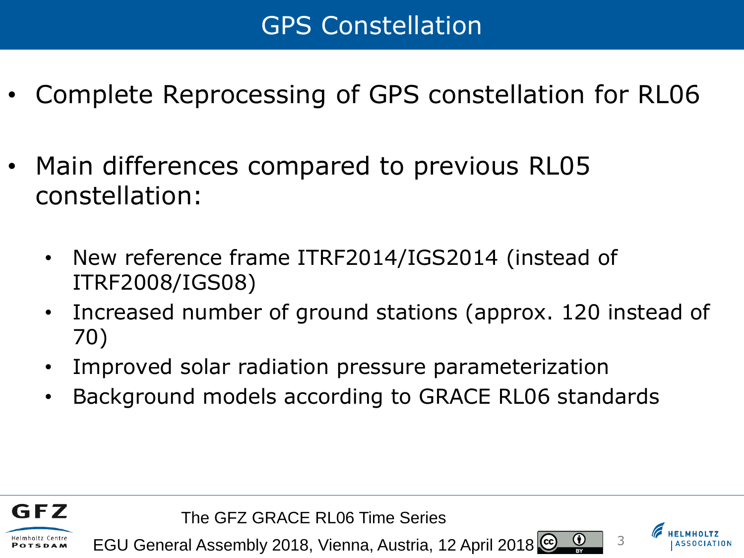- Complete Reprocessing of GPS constellation for RL06
- Main differences compared to previous RL05 constellation:
	- New reference frame ITRF2014/IGS2014 (instead of ITRF2008/IGS08)
	- Increased number of ground stations (approx. 120 instead of 70)
	- Improved solar radiation pressure parameterization
	- Background models according to GRACE RL06 standards



GFZ

**TSDAM** 





 $\bf{r}$ 

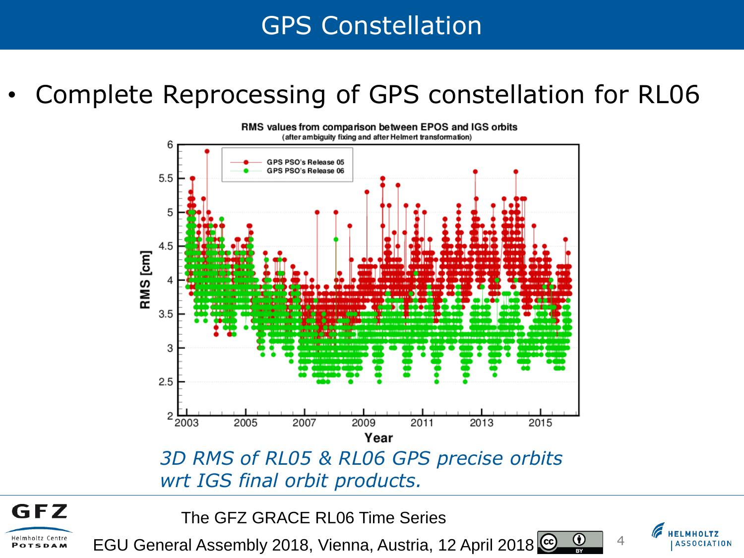### GPS Constellation

### • Complete Reprocessing of GPS constellation for RL06



The GFZ GRACE RL06 Time Series

**GFZ** 

Helmholtz Centre

POTSDAM

EGU General Assembly 2018, Vienna, Austria, 12 April 2018



 $\bf(i)$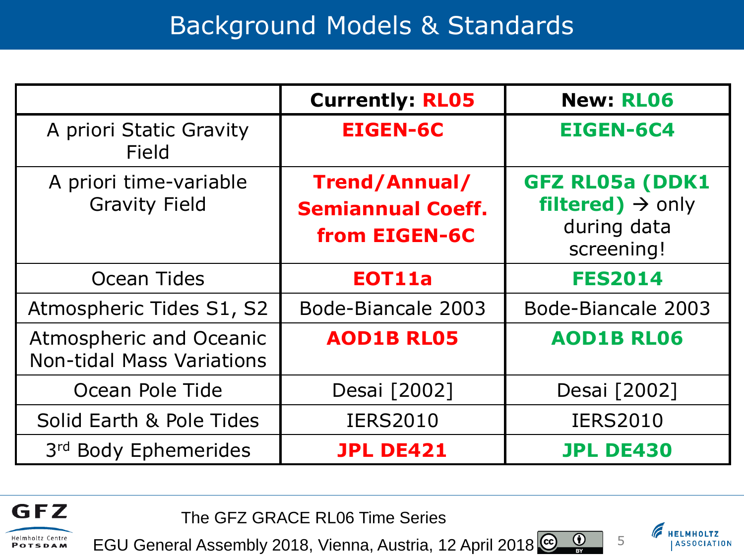### Background Models & Standards

|                                                             | <b>Currently: RL05</b>                                     | <b>New: RL06</b>                                                                    |
|-------------------------------------------------------------|------------------------------------------------------------|-------------------------------------------------------------------------------------|
| A priori Static Gravity<br>Field                            | <b>EIGEN-6C</b>                                            | <b>EIGEN-6C4</b>                                                                    |
| A priori time-variable<br><b>Gravity Field</b>              | Trend/Annual/<br><b>Semiannual Coeff.</b><br>from EIGEN-6C | <b>GFZ RL05a (DDK1</b><br>filtered) $\rightarrow$ only<br>during data<br>screening! |
| Ocean Tides                                                 | EOT11a                                                     | <b>FES2014</b>                                                                      |
| Atmospheric Tides S1, S2                                    | Bode-Biancale 2003                                         | Bode-Biancale 2003                                                                  |
| Atmospheric and Oceanic<br><b>Non-tidal Mass Variations</b> | <b>AOD1B RL05</b>                                          | <b>AOD1B RL06</b>                                                                   |
| Ocean Pole Tide                                             | Desai [2002]                                               | Desai [2002]                                                                        |
| Solid Earth & Pole Tides                                    | <b>IERS2010</b>                                            | <b>IERS2010</b>                                                                     |
| 3rd Body Ephemerides                                        | <b>JPL DE421</b>                                           | <b>JPL DE430</b>                                                                    |

The GFZ GRACE RL06 Time Series

**GFZ** 

Helmholtz Centre

**POTSDAM** 

EGU General Assembly 2018, Vienna, Austria, 12 April 2018



**ASSOCIATION** 

 $\frac{1}{\sqrt{2}}$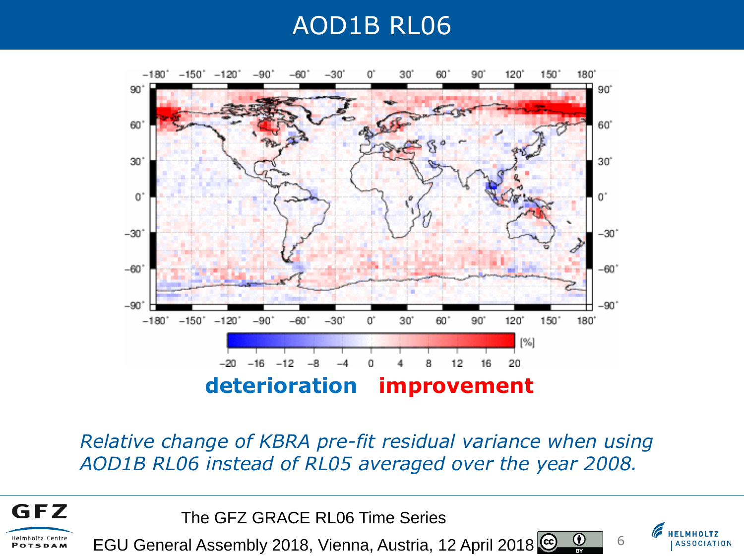### AOD1B RL06



*Relative change of KBRA pre-fit residual variance when using AOD1B RL06 instead of RL05 averaged over the year 2008.*

The GFZ GRACE RL06 Time Series

**GFZ** 

Helmholtz Centre

POTSDAM

EGU General Assembly 2018, Vienna, Austria, 12 April 2018



 $\bf \Theta$ 

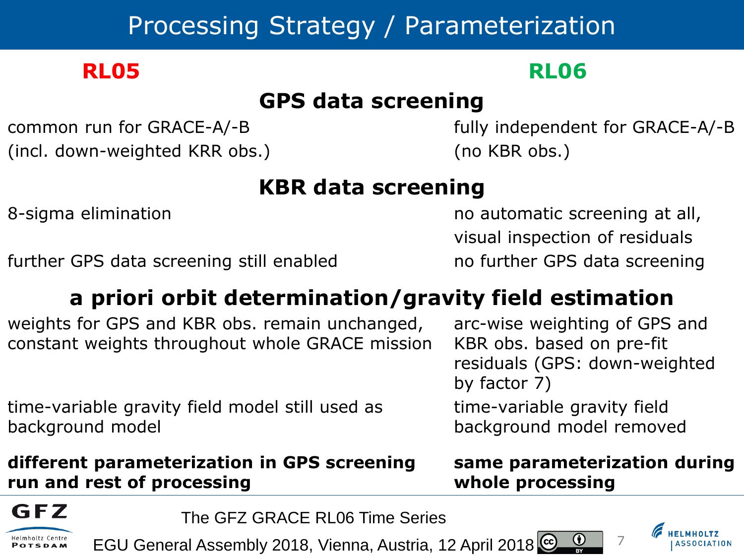# Processing Strategy / Parameterization

### **RL05 RL06**

### **GPS data screening**

(incl. down-weighted KRR obs.) (no KBR obs.)

common run for GRACE-A/-B fully independent for GRACE-A/-B

### **KBR data screening**

further GPS data screening still enabled no further GPS data screening

8-sigma elimination **no automatic screening at all**, visual inspection of residuals

### **a priori orbit determination/gravity field estimation**

weights for GPS and KBR obs. remain unchanged, arc-wise weighting of GPS and constant weights throughout whole GRACE mission KBR obs. based on pre-fit

residuals (GPS: down-weighted by factor 7)

time-variable gravity field model still used as time-variable gravity field background model background model removed

### **different parameterization in GPS screening same parameterization during run and rest of processing whole processing**

 $\bf{G}$ 

7

GFZ

POTSDAM

The GFZ GRACE RL06 Time Series

EGU General Assembly 2018, Vienna, Austria, 12 April 2018

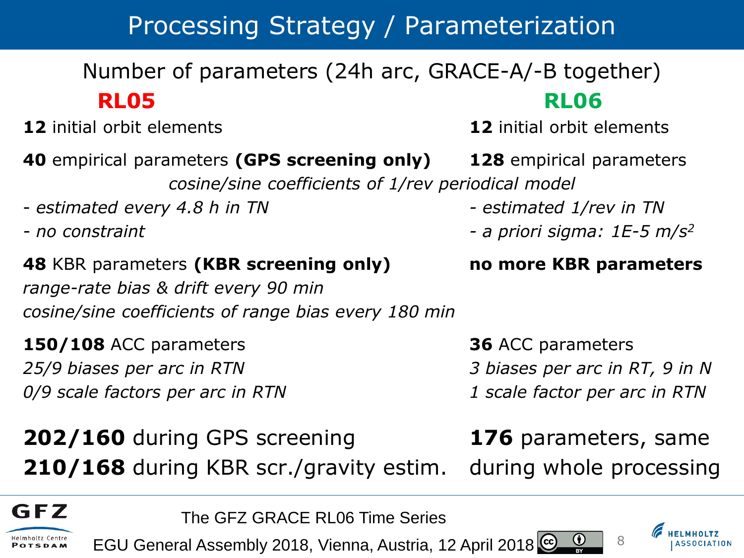# Processing Strategy / Parameterization

### Number of parameters (24h arc, GRACE-A/-B together) **RL05 RL06**

- **12** initial orbit elements **12** initial orbit elements
- **40** empirical parameters **(GPS screening only) 128** empirical parameters

*cosine/sine coefficients of 1/rev periodical model*

- *estimated every 4.8 h in TN - estimated 1/rev in TN*
- 

### **48** KBR parameters **(KBR screening only) no more KBR parameters** *range-rate bias & drift every 90 min cosine/sine coefficients of range bias every 180 min*

**150/108** ACC parameters **36** ACC parameters *25/9 biases per arc in RTN 3 biases per arc in RT, 9 in N 0/9 scale factors per arc in RTN 1 scale factor per arc in RTN*

**202/160** during GPS screening **176** parameters, same **210/168** during KBR scr./gravity estim. during whole processing

- 
- 
- *- no constraint - a priori sigma: 1E-5 m/s<sup>2</sup>*

 $\bf(i)$ 



The GFZ GRACE RL06 Time Series

EGU General Assembly 2018, Vienna, Austria, 12 April 2018

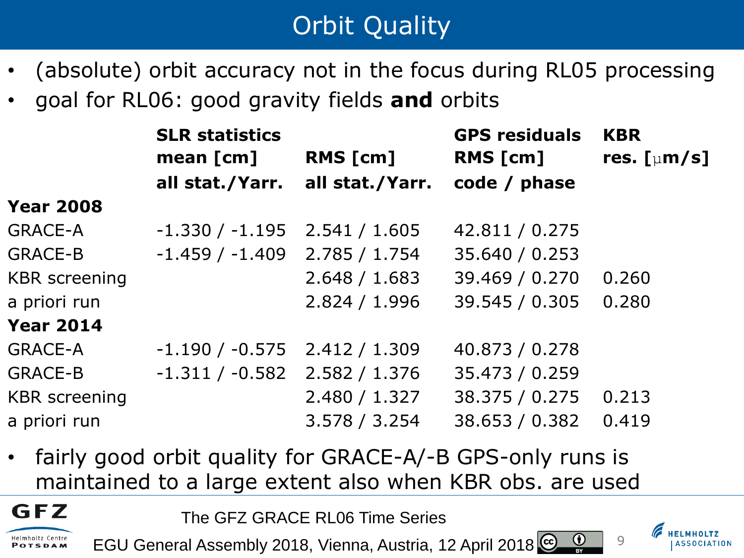# **Orbit Quality**

- (absolute) orbit accuracy not in the focus during RL05 processing
- goal for RL06: good gravity fields **and** orbits

|                      | <b>SLR statistics</b><br>mean $[cm]$ | RMS [cm]        | <b>GPS residuals</b><br>RMS [cm] | <b>KBR</b><br>res. $\left[\mu m/s\right]$ |  |
|----------------------|--------------------------------------|-----------------|----------------------------------|-------------------------------------------|--|
|                      | all stat./Yarr.                      | all stat./Yarr. | code / phase                     |                                           |  |
| <b>Year 2008</b>     |                                      |                 |                                  |                                           |  |
| <b>GRACE-A</b>       | $-1.330 / -1.195$                    | 2.541 / 1.605   | 42.811 / 0.275                   |                                           |  |
| <b>GRACE-B</b>       | $-1.459/ -1.409$                     | 2.785 / 1.754   | 35.640 / 0.253                   |                                           |  |
| <b>KBR</b> screening |                                      | 2.648 / 1.683   | 39.469 / 0.270                   | 0.260                                     |  |
| a priori run         |                                      | 2.824 / 1.996   | 39.545 / 0.305                   | 0.280                                     |  |
| <b>Year 2014</b>     |                                      |                 |                                  |                                           |  |
| <b>GRACE-A</b>       | $-1.190 / -0.575$                    | 2.412 / 1.309   | 40.873 / 0.278                   |                                           |  |
| GRACE-B              | $-1.311/ -0.582$                     | 2.582 / 1.376   | 35.473 / 0.259                   |                                           |  |
| <b>KBR</b> screening |                                      | 2.480 / 1.327   | 38.375 / 0.275                   | 0.213                                     |  |
| a priori run         |                                      | 3.578 / 3.254   | 38.653 / 0.382                   | 0.419                                     |  |
|                      |                                      |                 |                                  |                                           |  |

fairly good orbit quality for GRACE-A/-B GPS-only runs is maintained to a large extent also when KBR obs. are used

The GFZ GRACE RL06 Time Series

GFZ

Helmholtz Centre POTSDAM

 $\bf{r}$ EGU General Assembly 2018, Vienna, Austria, 12 April 2018

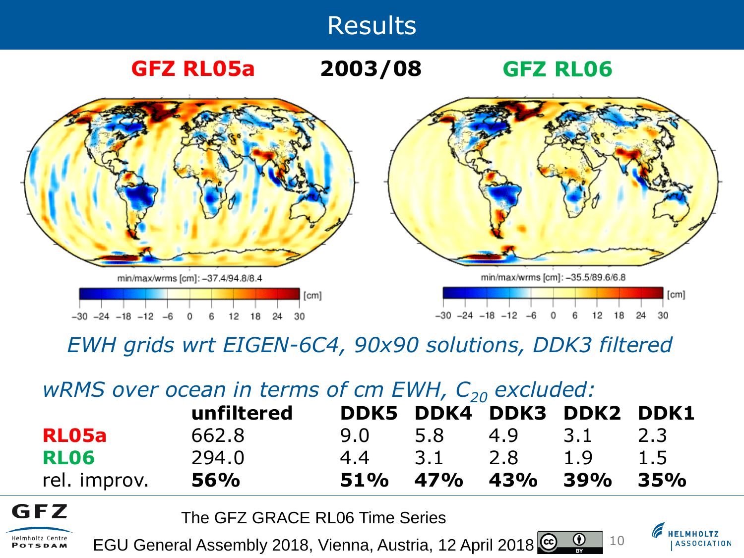

**GFZ RL05a GFZ RL06 2003/08**



*EWH grids wrt EIGEN-6C4, 90x90 solutions, DDK3 filtered*

### *wRMS* over ocean in terms of cm EWH,  $C_{20}$  excluded:

|              | unfiltered | DDK5 DDK4 DDK3 DDK2 DDK1 |     |         |     |
|--------------|------------|--------------------------|-----|---------|-----|
| RL05a        | 662.8      | 9.0 5.8                  | 4.9 | 3.1 2.3 |     |
| RLO6         | 294.0      | 4.4 3.1 2.8              |     | 1.9     | 1.5 |
| rel. improv. | <b>56%</b> | 51% 47% 43% 39%          |     |         | 35% |

The GFZ GRACE RL06 Time Series

GFZ

Helmholtz Centre

POTSDAM

EGU General Assembly 2018, Vienna, Austria, 12 April 2018

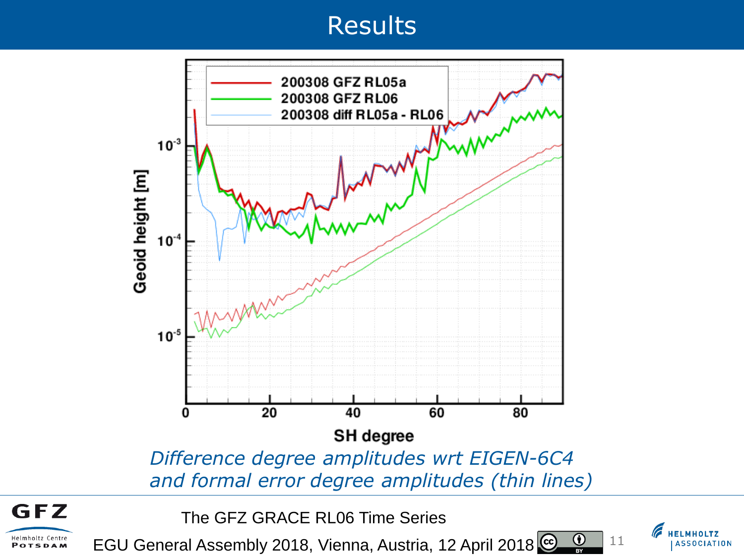

*and formal error degree amplitudes (thin lines)*

The GFZ GRACE RL06 Time Series

GFZ

Helmholtz Centre

POTSDAM

EGU General Assembly 2018, Vienna, Austria, 12 April 2018  $\bf \bm \Theta$ 

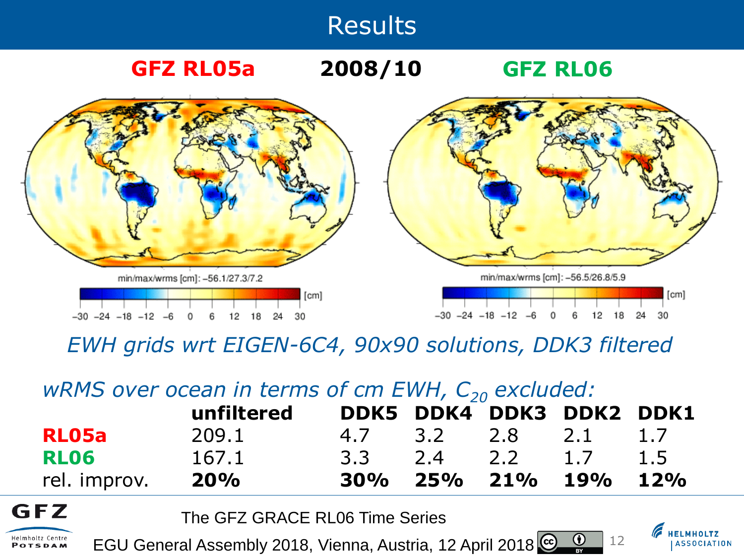

**GFZ RL05a 2008/10 GFZ RL06**



*EWH grids wrt EIGEN-6C4, 90x90 solutions, DDK3 filtered*

### *wRMS* over ocean in terms of cm EWH,  $C_{20}$  excluded:

|              | unfiltered | DDK5 DDK4 DDK3 DDK2 DDK1 |  |     |
|--------------|------------|--------------------------|--|-----|
| RL05a        | 209.1      | 4.7 3.2 2.8 2.1 1.7      |  |     |
| RLO6         | 167.1      | 3.3 2.4 2.2 1.7          |  | 1.5 |
| rel. improv. | <b>20%</b> | 30% 25% 21% 19%          |  | 12% |

The GFZ GRACE RL06 Time Series

GFZ

Helmholtz Centre

POTSDAM

EGU General Assembly 2018, Vienna, Austria, 12 April 2018 (i)

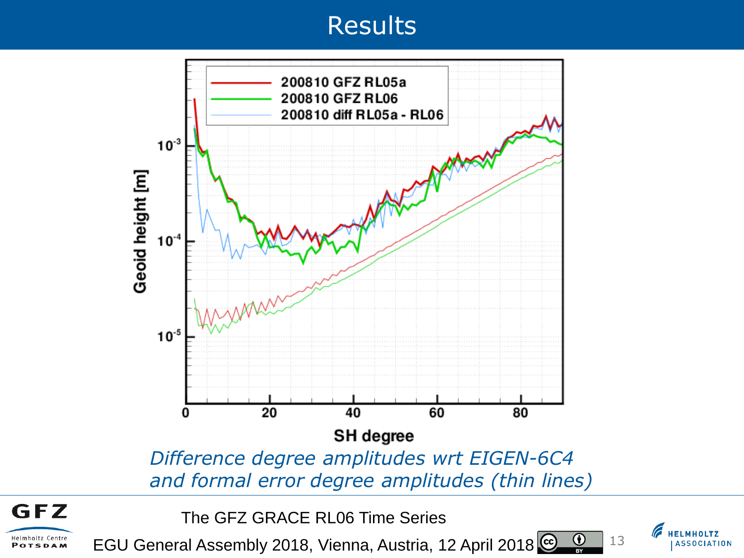

The GFZ GRACE RL06 Time Series

GFZ

Helmholtz Centre

POTSDAM

EGU General Assembly 2018, Vienna, Austria, 12 April 2018  $\bf \bm \Theta$ 

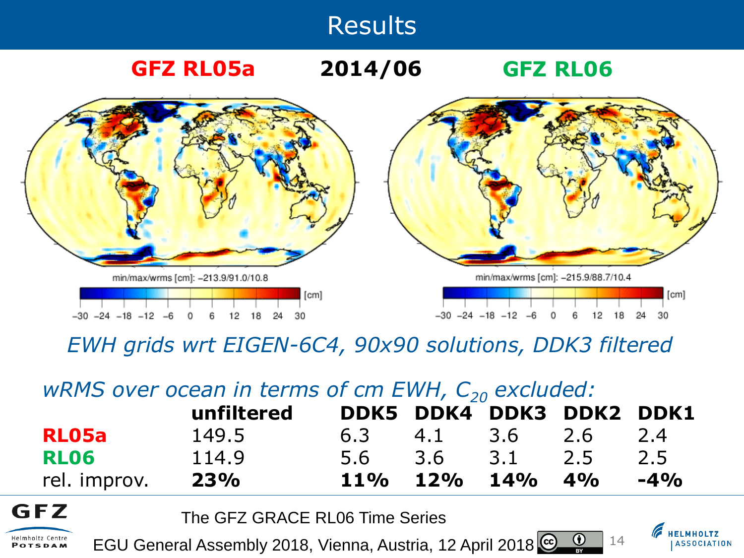

**GFZ RL05a 2014/06 GFZ RL06**



*EWH grids wrt EIGEN-6C4, 90x90 solutions, DDK3 filtered*

### *wRMS* over ocean in terms of cm EWH,  $C_{20}$  excluded:

|              | unfiltered |                 | DDK5 DDK4 DDK3 DDK2 DDK1 |        |
|--------------|------------|-----------------|--------------------------|--------|
| RL05a        | 149.5      | 6.3 4.1 3.6 2.6 |                          | 2.4    |
| RLO6         | 114.9      | 5.6 3.6 3.1 2.5 |                          | 2.5    |
| rel. improv. | <b>23%</b> | 11% 12% 14% 4%  |                          | $-4\%$ |

The GFZ GRACE RL06 Time Series

GFZ

Helmholtz Centre

POTSDAM

 $\bf G$ EGU General Assembly 2018, Vienna, Austria, 12 April 2018

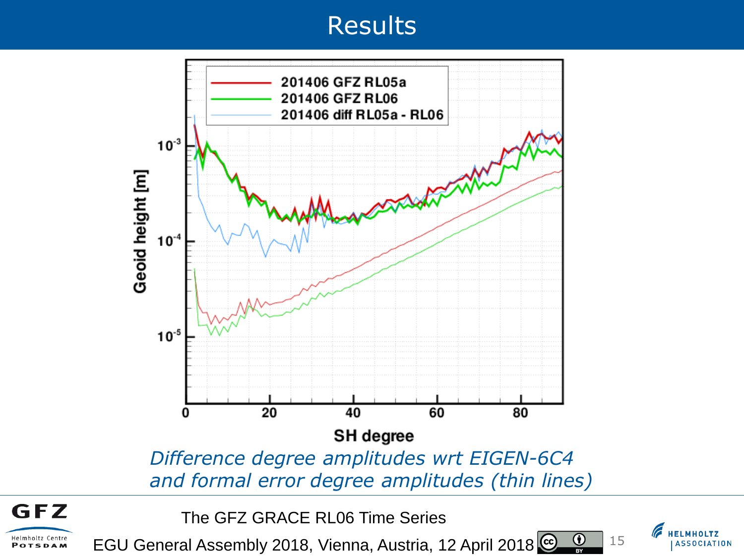

The GFZ GRACE RL06 Time Series

GFZ

Helmholtz Centre

POTSDAM

EGU General Assembly 2018, Vienna, Austria, 12 April 2018  $\bf \bm \Theta$ 

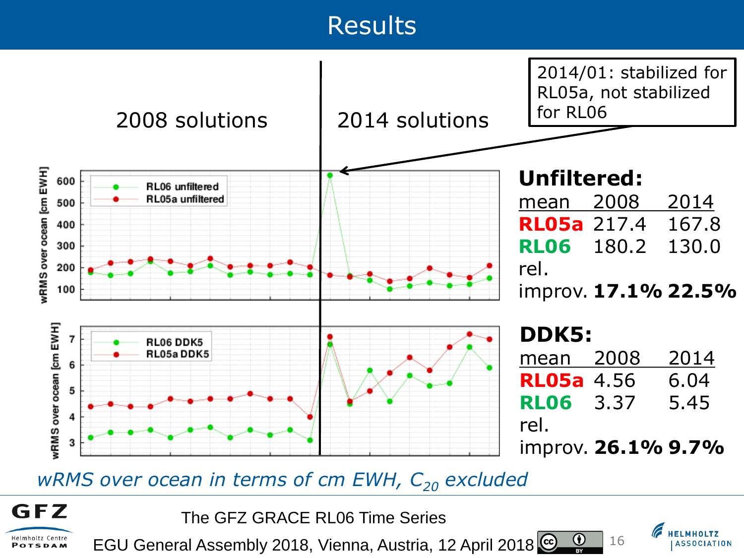

### *wRMS* over ocean in terms of cm EWH,  $C_{20}$  excluded





 $\bf \bm \Theta$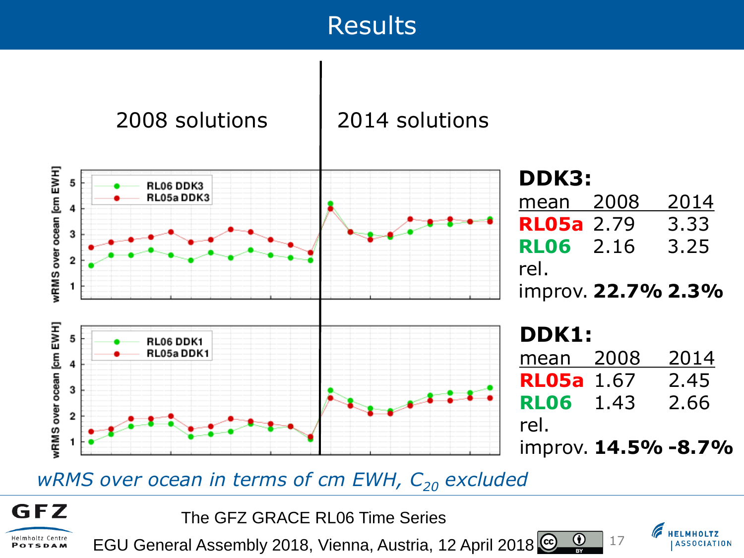

### *wRMS over ocean in terms of cm EWH, C<sup>20</sup> excluded*



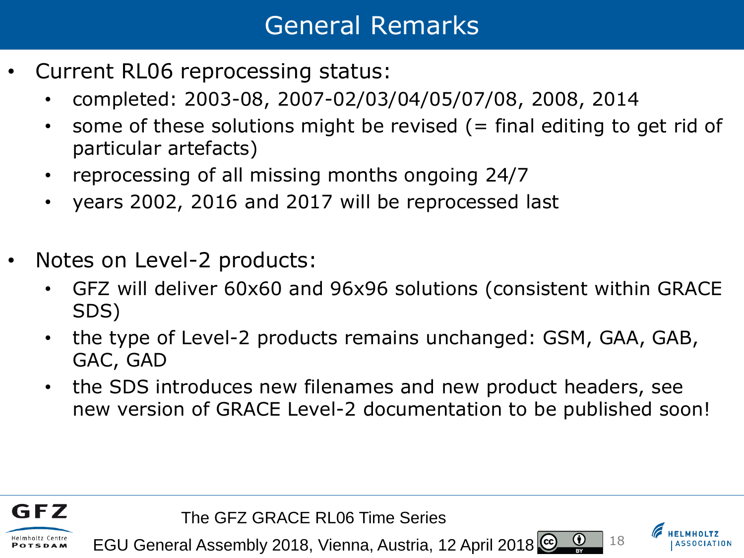### General Remarks

- Current RL06 reprocessing status:
	- completed: 2003-08, 2007-02/03/04/05/07/08, 2008, 2014
	- some of these solutions might be revised  $($  = final editing to get rid of particular artefacts)
	- reprocessing of all missing months ongoing 24/7
	- years 2002, 2016 and 2017 will be reprocessed last
- Notes on Level-2 products:
	- GFZ will deliver 60x60 and 96x96 solutions (consistent within GRACE SDS)
	- the type of Level-2 products remains unchanged: GSM, GAA, GAB, GAC, GAD
	- the SDS introduces new filenames and new product headers, see new version of GRACE Level-2 documentation to be published soon!



The GFZ GRACE RL06 Time Series

EGU General Assembly 2018, Vienna, Austria, 12 April 2018



 $\bf G$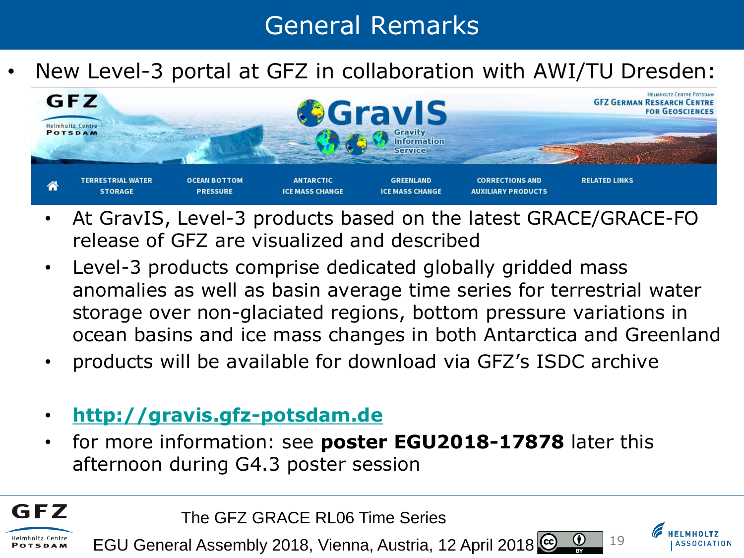# General Remarks

• New Level-3 portal at GFZ in collaboration with AWI/TU Dresden:



- At GravIS, Level-3 products based on the latest GRACE/GRACE-FO release of GFZ are visualized and described
- Level-3 products comprise dedicated globally gridded mass anomalies as well as basin average time series for terrestrial water storage over non-glaciated regions, bottom pressure variations in ocean basins and ice mass changes in both Antarctica and Greenland
- products will be available for download via GFZ's ISDC archive
- **[http://gravis.gfz-potsdam.de](http://gravis.gfz-potsdam.de/)**

GFZ

Helmholtz Centre **POTSDAM** 

• for more information: see **poster EGU2018-17878** later this afternoon during G4.3 poster session

The GFZ GRACE RL06 Time Series

EGU General Assembly 2018, Vienna, Austria, 12 April 2018



 $\bf(i)$